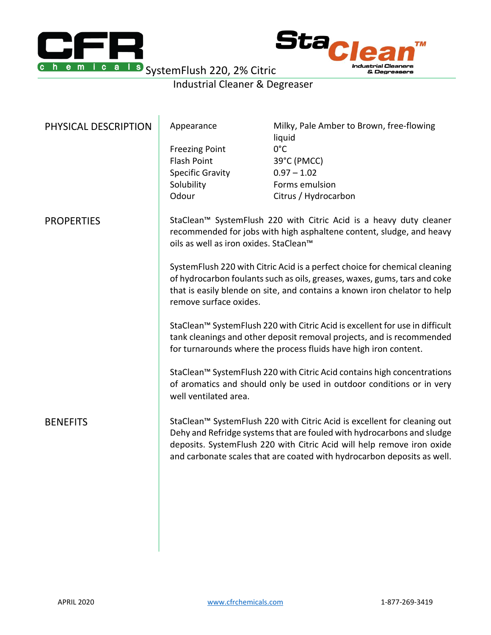



chemical<sup>s</sup> SystemFlush 220, 2% Citric

 $\mathbf{r}$ 

## Industrial Cleaner & Degreaser

| PHYSICAL DESCRIPTION | Appearance<br><b>Freezing Point</b>                                                                                                                                                                                                                                                                     | Milky, Pale Amber to Brown, free-flowing<br>liquid<br>$0^{\circ}$ C |
|----------------------|---------------------------------------------------------------------------------------------------------------------------------------------------------------------------------------------------------------------------------------------------------------------------------------------------------|---------------------------------------------------------------------|
|                      | <b>Flash Point</b>                                                                                                                                                                                                                                                                                      | 39°C (PMCC)                                                         |
|                      | <b>Specific Gravity</b>                                                                                                                                                                                                                                                                                 | $0.97 - 1.02$                                                       |
|                      | Solubility<br>Odour                                                                                                                                                                                                                                                                                     | Forms emulsion<br>Citrus / Hydrocarbon                              |
|                      |                                                                                                                                                                                                                                                                                                         |                                                                     |
| <b>PROPERTIES</b>    | StaClean™ SystemFlush 220 with Citric Acid is a heavy duty cleaner<br>recommended for jobs with high asphaltene content, sludge, and heavy<br>oils as well as iron oxides. StaClean™                                                                                                                    |                                                                     |
|                      | SystemFlush 220 with Citric Acid is a perfect choice for chemical cleaning<br>of hydrocarbon foulants such as oils, greases, waxes, gums, tars and coke<br>that is easily blende on site, and contains a known iron chelator to help<br>remove surface oxides.                                          |                                                                     |
|                      | StaClean™ SystemFlush 220 with Citric Acid is excellent for use in difficult<br>tank cleanings and other deposit removal projects, and is recommended<br>for turnarounds where the process fluids have high iron content.                                                                               |                                                                     |
|                      | StaClean <sup>™</sup> SystemFlush 220 with Citric Acid contains high concentrations<br>of aromatics and should only be used in outdoor conditions or in very<br>well ventilated area.                                                                                                                   |                                                                     |
| <b>BENEFITS</b>      | StaClean™ SystemFlush 220 with Citric Acid is excellent for cleaning out<br>Dehy and Refridge systems that are fouled with hydrocarbons and sludge<br>deposits. SystemFlush 220 with Citric Acid will help remove iron oxide<br>and carbonate scales that are coated with hydrocarbon deposits as well. |                                                                     |
|                      |                                                                                                                                                                                                                                                                                                         |                                                                     |